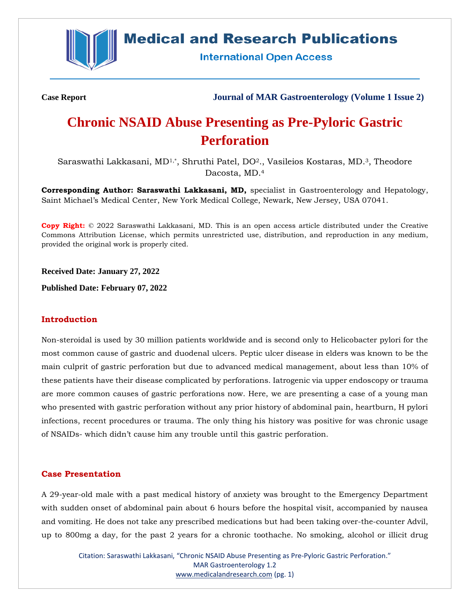

# **Medical and Research Publications**

**International Open Access** 

**Case Report Journal of MAR Gastroenterology (Volume 1 Issue 2)**

# **Chronic NSAID Abuse Presenting as Pre-Pyloric Gastric Perforation**

Saraswathi Lakkasani, MD<sup>1,\*</sup>, Shruthi Patel, DO<sup>2</sup>., Vasileios Kostaras, MD.<sup>3</sup>, Theodore Dacosta, MD.<sup>4</sup>

**Corresponding Author: Saraswathi Lakkasani, MD,** specialist in Gastroenterology and Hepatology, Saint Michael's Medical Center, New York Medical College, Newark, New Jersey, USA 07041.

**Copy Right:** © 2022 Saraswathi Lakkasani, MD. This is an open access article distributed under the Creative Commons Attribution License, which permits unrestricted use, distribution, and reproduction in any medium, provided the original work is properly cited.

**Received Date: January 27, 2022**

**Published Date: February 07, 2022**

#### **Introduction**

Non-steroidal is used by 30 million patients worldwide and is second only to Helicobacter pylori for the most common cause of gastric and duodenal ulcers. Peptic ulcer disease in elders was known to be the main culprit of gastric perforation but due to advanced medical management, about less than 10% of these patients have their disease complicated by perforations. Iatrogenic via upper endoscopy or trauma are more common causes of gastric perforations now. Here, we are presenting a case of a young man who presented with gastric perforation without any prior history of abdominal pain, heartburn, H pylori infections, recent procedures or trauma. The only thing his history was positive for was chronic usage of NSAIDs- which didn't cause him any trouble until this gastric perforation.

# **Case Presentation**

A 29-year-old male with a past medical history of anxiety was brought to the Emergency Department with sudden onset of abdominal pain about 6 hours before the hospital visit, accompanied by nausea and vomiting. He does not take any prescribed medications but had been taking over-the-counter Advil, up to 800mg a day, for the past 2 years for a chronic toothache. No smoking, alcohol or illicit drug

Citation: Saraswathi Lakkasani, "Chronic NSAID Abuse Presenting as Pre-Pyloric Gastric Perforation." MAR Gastroenterology 1.2 [www.medicalandresearch.com](http://www.medicalandresearch.com/) (pg. 1)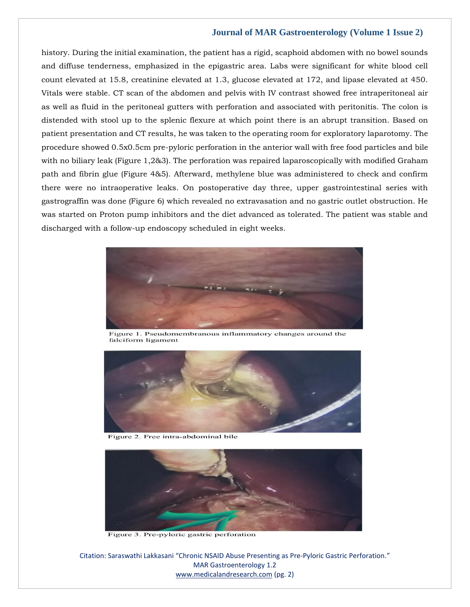#### **Journal of MAR Gastroenterology (Volume 1 Issue 2)**

history. During the initial examination, the patient has a rigid, scaphoid abdomen with no bowel sounds and diffuse tenderness, emphasized in the epigastric area. Labs were significant for white blood cell count elevated at 15.8, creatinine elevated at 1.3, glucose elevated at 172, and lipase elevated at 450. Vitals were stable. CT scan of the abdomen and pelvis with IV contrast showed free intraperitoneal air as well as fluid in the peritoneal gutters with perforation and associated with peritonitis. The colon is distended with stool up to the splenic flexure at which point there is an abrupt transition. Based on patient presentation and CT results, he was taken to the operating room for exploratory laparotomy. The procedure showed 0.5x0.5cm pre-pyloric perforation in the anterior wall with free food particles and bile with no biliary leak (Figure 1,2&3). The perforation was repaired laparoscopically with modified Graham path and fibrin glue (Figure 4&5). Afterward, methylene blue was administered to check and confirm there were no intraoperative leaks. On postoperative day three, upper gastrointestinal series with gastrograffin was done (Figure 6) which revealed no extravasation and no gastric outlet obstruction. He was started on Proton pump inhibitors and the diet advanced as tolerated. The patient was stable and discharged with a follow-up endoscopy scheduled in eight weeks.



Figure 1. Pseudomembranous inflammatory changes around the falciform ligament



Figure 2. Free intra-abdominal bile



Figure 3. Pre-pyloric gastric perforation

Citation: Saraswathi Lakkasani "Chronic NSAID Abuse Presenting as Pre-Pyloric Gastric Perforation." MAR Gastroenterology 1.2 [www.medicalandresearch.com](http://www.medicalandresearch.com/) (pg. 2)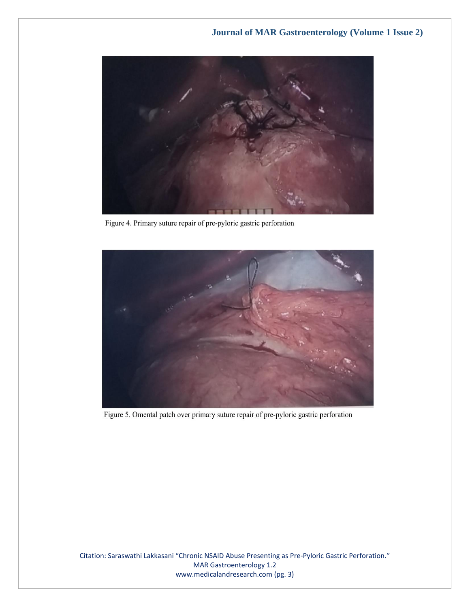

Figure 4. Primary suture repair of pre-pyloric gastric perforation



Figure 5. Omental patch over primary suture repair of pre-pyloric gastric perforation

Citation: Saraswathi Lakkasani "Chronic NSAID Abuse Presenting as Pre-Pyloric Gastric Perforation." MAR Gastroenterology 1.2 [www.medicalandresearch.com](http://www.medicalandresearch.com/) (pg. 3)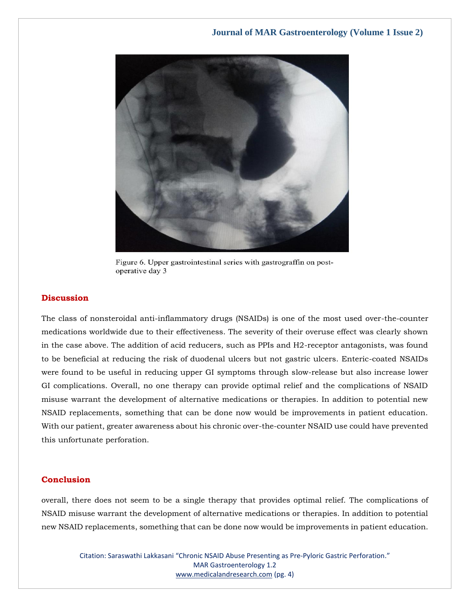

Figure 6. Upper gastrointestinal series with gastrograffin on postoperative day 3

#### **Discussion**

The class of nonsteroidal anti-inflammatory drugs (NSAIDs) is one of the most used over-the-counter medications worldwide due to their effectiveness. The severity of their overuse effect was clearly shown in the case above. The addition of acid reducers, such as PPIs and H2-receptor antagonists, was found to be beneficial at reducing the risk of duodenal ulcers but not gastric ulcers. Enteric-coated NSAIDs were found to be useful in reducing upper GI symptoms through slow-release but also increase lower GI complications. Overall, no one therapy can provide optimal relief and the complications of NSAID misuse warrant the development of alternative medications or therapies. In addition to potential new NSAID replacements, something that can be done now would be improvements in patient education. With our patient, greater awareness about his chronic over-the-counter NSAID use could have prevented this unfortunate perforation.

#### **Conclusion**

overall, there does not seem to be a single therapy that provides optimal relief. The complications of NSAID misuse warrant the development of alternative medications or therapies. In addition to potential new NSAID replacements, something that can be done now would be improvements in patient education.

> Citation: Saraswathi Lakkasani "Chronic NSAID Abuse Presenting as Pre-Pyloric Gastric Perforation." MAR Gastroenterology 1.2 [www.medicalandresearch.com](http://www.medicalandresearch.com/) (pg. 4)